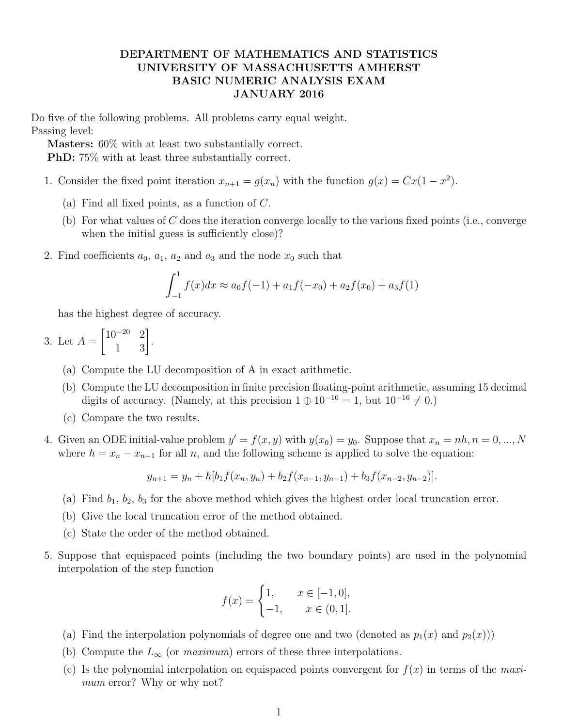## DEPARTMENT OF MATHEMATICS AND STATISTICS UNIVERSITY OF MASSACHUSETTS AMHERST BASIC NUMERIC ANALYSIS EXAM JANUARY 2016

Do five of the following problems. All problems carry equal weight. Passing level:

Masters: 60% with at least two substantially correct. PhD: 75% with at least three substantially correct.

- 1. Consider the fixed point iteration  $x_{n+1} = g(x_n)$  with the function  $g(x) = Cx(1 x^2)$ .
	- (a) Find all fixed points, as a function of C.
	- (b) For what values of C does the iteration converge locally to the various fixed points (i.e., converge when the initial guess is sufficiently close)?
- 2. Find coefficients  $a_0$ ,  $a_1$ ,  $a_2$  and  $a_3$  and the node  $x_0$  such that

$$
\int_{-1}^{1} f(x)dx \approx a_0 f(-1) + a_1 f(-x_0) + a_2 f(x_0) + a_3 f(1)
$$

has the highest degree of accuracy.

- 3. Let  $A =$  $\begin{bmatrix} 10^{-20} & 2 \\ 1 & 3 \end{bmatrix}$ .
	- (a) Compute the LU decomposition of A in exact arithmetic.
	- (b) Compute the LU decomposition in finite precision floating-point arithmetic, assuming 15 decimal digits of accuracy. (Namely, at this precision  $1 \oplus 10^{-16} = 1$ , but  $10^{-16} \neq 0$ .)
	- (c) Compare the two results.
- 4. Given an ODE initial-value problem  $y' = f(x, y)$  with  $y(x_0) = y_0$ . Suppose that  $x_n = nh$ ,  $n = 0, ..., N$ where  $h = x_n - x_{n-1}$  for all n, and the following scheme is applied to solve the equation:

$$
y_{n+1} = y_n + h[b_1 f(x_n, y_n) + b_2 f(x_{n-1}, y_{n-1}) + b_3 f(x_{n-2}, y_{n-2})].
$$

- (a) Find  $b_1$ ,  $b_2$ ,  $b_3$  for the above method which gives the highest order local truncation error.
- (b) Give the local truncation error of the method obtained.
- (c) State the order of the method obtained.
- 5. Suppose that equispaced points (including the two boundary points) are used in the polynomial interpolation of the step function

$$
f(x) = \begin{cases} 1, & x \in [-1, 0], \\ -1, & x \in (0, 1]. \end{cases}
$$

- (a) Find the interpolation polynomials of degree one and two (denoted as  $p_1(x)$  and  $p_2(x)$ ))
- (b) Compute the  $L_{\infty}$  (or maximum) errors of these three interpolations.
- (c) Is the polynomial interpolation on equispaced points convergent for  $f(x)$  in terms of the maximum error? Why or why not?